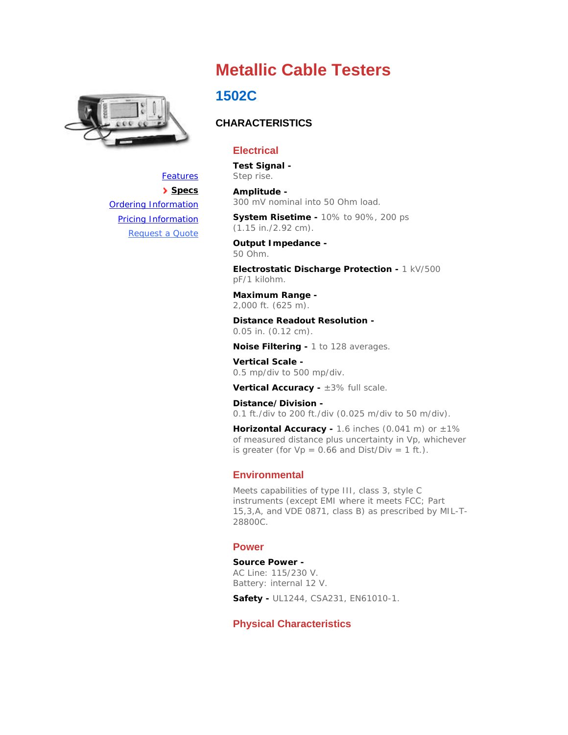

# **Metallic Cable Testers**

## **1502C**

## **CHARACTERISTICS**

## **Electrical**

**Test Signal -**  Step rise.

#### **Amplitude -**

300 mV nominal into 50 Ohm load.

**System Risetime -** 10% to 90%, 200 ps (1.15 in./2.92 cm).

**Output Impedance -**  50 Ohm.

**Electrostatic Discharge Protection -** 1 kV/500 pF/1 kilohm.

**Maximum Range -**  2,000 ft. (625 m).

**Distance Readout Resolution -**  0.05 in. (0.12 cm).

**Noise Filtering -** 1 to 128 averages.

**Vertical Scale -**  0.5 mp/div to 500 mp/div.

**Vertical Accuracy -** ±3% full scale.

**Distance/Division -**  0.1 ft./div to 200 ft./div (0.025 m/div to 50 m/div).

Horizontal Accuracy - 1.6 inches (0.041 m) or  $\pm 1\%$ of measured distance plus uncertainty in Vp, whichever is greater (for  $Vp = 0.66$  and  $Dist/Div = 1$  ft.).

## **Environmental**

Meets capabilities of type III, class 3, style C instruments (except EMI where it meets FCC; Part 15,3,A, and VDE 0871, class B) as prescribed by MIL-T-28800C.

#### **Power**

**Source Power -**  AC Line: 115/230 V. Battery: internal 12 V.

**Safety -** UL1244, CSA231, EN61010-1.

## **Physical Characteristics**

**Specs** Ordering Information Pricing Information Request a Quote

**Features**